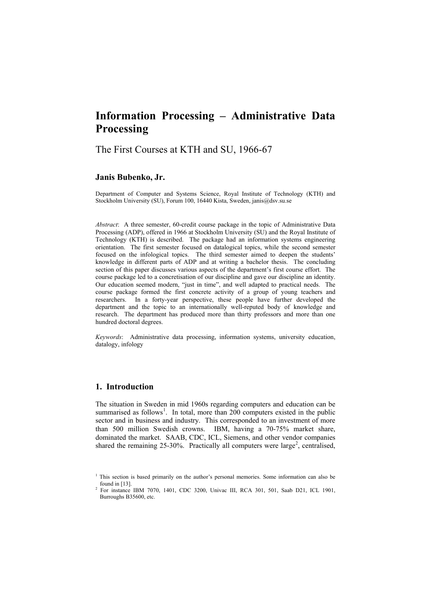# **Information Processing – Administrative Data Processing**

The First Courses at KTH and SU, 1966-67

# **Janis Bubenko, Jr.**

Department of Computer and Systems Science, Royal Institute of Technology (KTH) and Stockholm University (SU), Forum 100, 16440 Kista, Sweden, janis@dsv.su.se

*Abstract*: A three semester, 60-credit course package in the topic of Administrative Data Processing (ADP), offered in 1966 at Stockholm University (SU) and the Royal Institute of Technology (KTH) is described. The package had an information systems engineering orientation. The first semester focused on datalogical topics, while the second semester focused on the infological topics. The third semester aimed to deepen the students' knowledge in different parts of ADP and at writing a bachelor thesis. The concluding section of this paper discusses various aspects of the department's first course effort. The course package led to a concretisation of our discipline and gave our discipline an identity. Our education seemed modern, "just in time", and well adapted to practical needs. The course package formed the first concrete activity of a group of young teachers and researchers. In a forty-year perspective, these people have further developed the department and the topic to an internationally well-reputed body of knowledge and research. The department has produced more than thirty professors and more than one hundred doctoral degrees.

*Keywords*: Administrative data processing, information systems, university education, datalogy, infology

# **1. Introduction**

The situation in Sweden in mid 1960s regarding computers and education can be summarised as follows<sup>[1](#page-0-0)</sup>. In total, more than  $200$  computers existed in the public sector and in business and industry. This corresponded to an investment of more than 500 million Swedish crowns. IBM, having a 70-75% market share, dominated the market. SAAB, CDC, ICL, Siemens, and other vendor companies shared the remaining  $25{\text -}30\%$  $25{\text -}30\%$ . Practically all computers were large<sup>2</sup>, centralised,

<span id="page-0-3"></span><span id="page-0-2"></span><span id="page-0-0"></span><sup>&</sup>lt;sup>1</sup> This section is based primarily on the author's personal memories. Some information can also be found in [13].<br><sup>2</sup> For instance IBM 7070, 1401, CDC 3200, Univac III, RCA 301, 501, Saab D21, ICL 1901,

<span id="page-0-1"></span>Burroughs B35600, etc.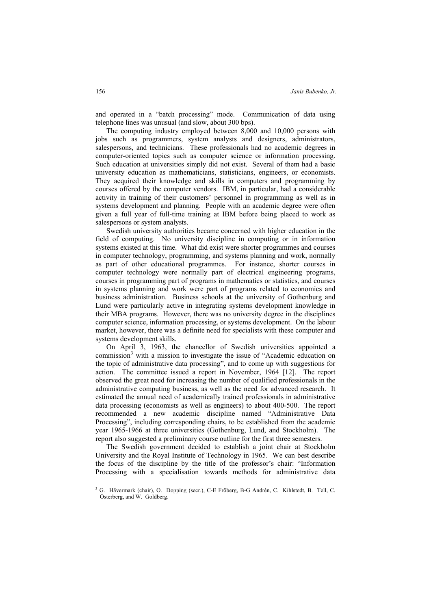and operated in a "batch processing" mode. Communication of data using telephone lines was unusual (and slow, about 300 bps).

The computing industry employed between 8,000 and 10,000 persons with jobs such as programmers, system analysts and designers, administrators, salespersons, and technicians. These professionals had no academic degrees in computer-oriented topics such as computer science or information processing. Such education at universities simply did not exist. Several of them had a basic university education as mathematicians, statisticians, engineers, or economists. They acquired their knowledge and skills in computers and programming by courses offered by the computer vendors. IBM, in particular, had a considerable activity in training of their customers' personnel in programming as well as in systems development and planning. People with an academic degree were often given a full year of full-time training at IBM before being placed to work as salespersons or system analysts.

Swedish university authorities became concerned with higher education in the field of computing. No university discipline in computing or in information systems existed at this time. What did exist were shorter programmes and courses in computer technology, programming, and systems planning and work, normally as part of other educational programmes. For instance, shorter courses in computer technology were normally part of electrical engineering programs, courses in programming part of programs in mathematics or statistics, and courses in systems planning and work were part of programs related to economics and business administration. Business schools at the university of Gothenburg and Lund were particularly active in integrating systems development knowledge in their MBA programs. However, there was no university degree in the disciplines computer science, information processing, or systems development. On the labour market, however, there was a definite need for specialists with these computer and systems development skills.

On April 3, 1963, the chancellor of Swedish universities appointed a commission<sup>[3](#page-0-1)</sup> with a mission to investigate the issue of "Academic education on the topic of administrative data processing", and to come up with suggestions for action. The committee issued a report in November, 1964 [12]. The report observed the great need for increasing the number of qualified professionals in the administrative computing business, as well as the need for advanced research. It estimated the annual need of academically trained professionals in administrative data processing (economists as well as engineers) to about 400-500. The report recommended a new academic discipline named "Administrative Data Processing", including corresponding chairs, to be established from the academic year 1965-1966 at three universities (Gothenburg, Lund, and Stockholm). The report also suggested a preliminary course outline for the first three semesters.

The Swedish government decided to establish a joint chair at Stockholm University and the Royal Institute of Technology in 1965. We can best describe the focus of the discipline by the title of the professor's chair: "Information Processing with a specialisation towards methods for administrative data

<sup>3</sup> G. Hävermark (chair), O. Dopping (secr.), C-E Fröberg, B-G Andrén, C. Kihlstedt, B. Tell, C. Österberg, and W. Goldberg.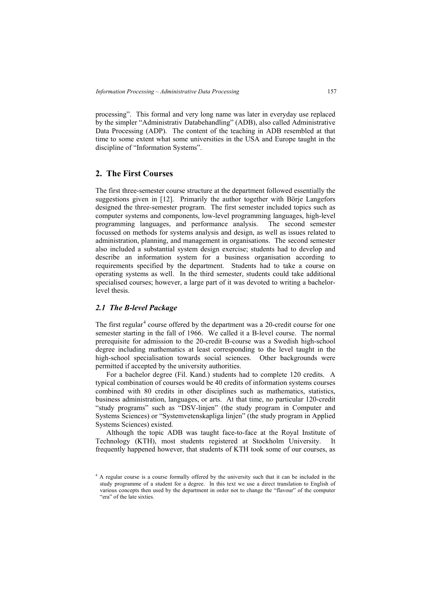processing". This formal and very long name was later in everyday use replaced by the simpler "Administrativ Databehandling" (ADB), also called Administrative Data Processing (ADP). The content of the teaching in ADB resembled at that time to some extent what some universities in the USA and Europe taught in the discipline of "Information Systems".

# **2. The First Courses**

The first three-semester course structure at the department followed essentially the suggestions given in [12]. Primarily the author together with Börje Langefors designed the three-semester program. The first semester included topics such as computer systems and components, low-level programming languages, high-level programming languages, and performance analysis. focussed on methods for systems analysis and design, as well as issues related to administration, planning, and management in organisations. The second semester also included a substantial system design exercise; students had to develop and describe an information system for a business organisation according to requirements specified by the department. Students had to take a course on operating systems as well. In the third semester, students could take additional specialised courses; however, a large part of it was devoted to writing a bachelorlevel thesis.

# *2.1 The B-level Package*

The first regular<sup>[4](#page-0-0)</sup> course offered by the department was a 20-credit course for one semester starting in the fall of 1966. We called it a B-level course. The normal prerequisite for admission to the 20-credit B-course was a Swedish high-school degree including mathematics at least corresponding to the level taught in the high-school specialisation towards social sciences. Other backgrounds were permitted if accepted by the university authorities.

For a bachelor degree (Fil. Kand.) students had to complete 120 credits. A typical combination of courses would be 40 credits of information systems courses combined with 80 credits in other disciplines such as mathematics, statistics, business administration, languages, or arts. At that time, no particular 120-credit "study programs" such as "DSV-linjen" (the study program in Computer and Systems Sciences) or "Systemvetenskapliga linjen" (the study program in Applied Systems Sciences) existed.

Although the topic ADB was taught face-to-face at the Royal Institute of Technology (KTH), most students registered at Stockholm University. It frequently happened however, that students of KTH took some of our courses, as

<sup>4</sup> A regular course is a course formally offered by the university such that it can be included in the study programme of a student for a degree. In this text we use a direct translation to English of various concepts then used by the department in order not to change the "flavour" of the computer "era" of the late sixties.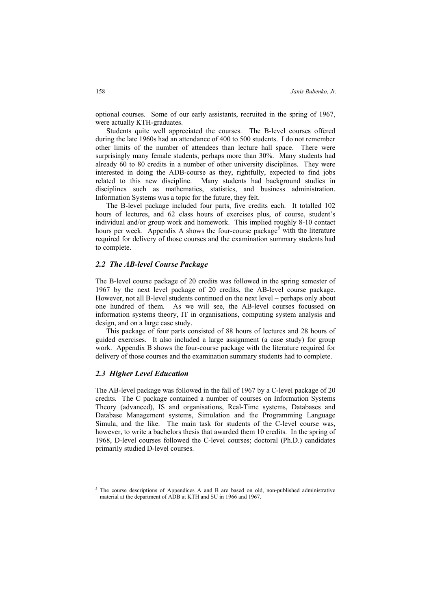optional courses. Some of our early assistants, recruited in the spring of 1967, were actually KTH-graduates.

Students quite well appreciated the courses. The B-level courses offered during the late 1960s had an attendance of 400 to 500 students. I do not remember other limits of the number of attendees than lecture hall space. There were surprisingly many female students, perhaps more than 30%. Many students had already 60 to 80 credits in a number of other university disciplines. They were interested in doing the ADB-course as they, rightfully, expected to find jobs related to this new discipline. Many students had background studies in disciplines such as mathematics, statistics, and business administration. Information Systems was a topic for the future, they felt.

The B-level package included four parts, five credits each. It totalled 102 hours of lectures, and 62 class hours of exercises plus, of course, student's individual and/or group work and homework. This implied roughly 8-10 contact hours per week. Appendix A shows the four-course package<sup>[5](#page-0-1)</sup> with the literature required for delivery of those courses and the examination summary students had to complete.

# *2.2 The AB-level Course Package*

The B-level course package of 20 credits was followed in the spring semester of 1967 by the next level package of 20 credits, the AB-level course package. However, not all B-level students continued on the next level – perhaps only about one hundred of them. As we will see, the AB-level courses focussed on information systems theory, IT in organisations, computing system analysis and design, and on a large case study.

This package of four parts consisted of 88 hours of lectures and 28 hours of guided exercises. It also included a large assignment (a case study) for group work. Appendix B shows the four-course package with the literature required for delivery of those courses and the examination summary students had to complete.

### *2.3 Higher Level Education*

The AB-level package was followed in the fall of 1967 by a C-level package of 20 credits. The C package contained a number of courses on Information Systems Theory (advanced), IS and organisations, Real-Time systems, Databases and Database Management systems, Simulation and the Programming Language Simula, and the like. The main task for students of the C-level course was, however, to write a bachelors thesis that awarded them 10 credits. In the spring of 1968, D-level courses followed the C-level courses; doctoral (Ph.D.) candidates primarily studied D-level courses.

 $5$  The course descriptions of Appendices A and B are based on old, non-published administrative material at the department of ADB at KTH and SU in 1966 and 1967.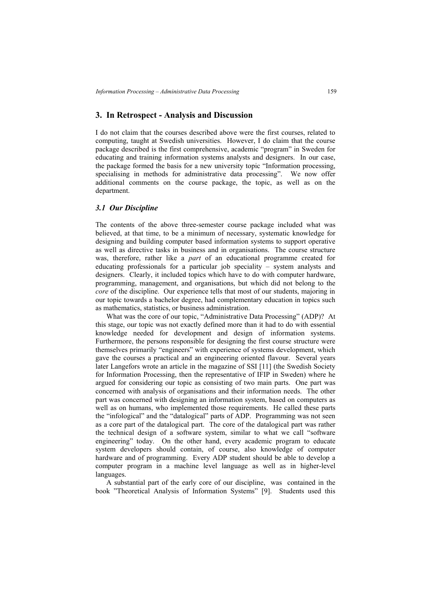# **3. In Retrospect - Analysis and Discussion**

I do not claim that the courses described above were the first courses, related to computing, taught at Swedish universities. However, I do claim that the course package described is the first comprehensive, academic "program" in Sweden for educating and training information systems analysts and designers. In our case, the package formed the basis for a new university topic "Information processing, specialising in methods for administrative data processing". We now offer additional comments on the course package, the topic, as well as on the department.

## *3.1 Our Discipline*

The contents of the above three-semester course package included what was believed, at that time, to be a minimum of necessary, systematic knowledge for designing and building computer based information systems to support operative as well as directive tasks in business and in organisations. The course structure was, therefore, rather like a *part* of an educational programme created for educating professionals for a particular job speciality – system analysts and designers. Clearly, it included topics which have to do with computer hardware, programming, management, and organisations, but which did not belong to the *core* of the discipline. Our experience tells that most of our students, majoring in our topic towards a bachelor degree, had complementary education in topics such as mathematics, statistics, or business administration.

What was the core of our topic, "Administrative Data Processing" (ADP)? At this stage, our topic was not exactly defined more than it had to do with essential knowledge needed for development and design of information systems. Furthermore, the persons responsible for designing the first course structure were themselves primarily "engineers" with experience of systems development, which gave the courses a practical and an engineering oriented flavour. Several years later Langefors wrote an article in the magazine of SSI [11] (the Swedish Society for Information Processing, then the representative of IFIP in Sweden) where he argued for considering our topic as consisting of two main parts. One part was concerned with analysis of organisations and their information needs. The other part was concerned with designing an information system, based on computers as well as on humans, who implemented those requirements. He called these parts the "infological" and the "datalogical" parts of ADP. Programming was not seen as a core part of the datalogical part. The core of the datalogical part was rather the technical design of a software system, similar to what we call "software engineering" today. On the other hand, every academic program to educate system developers should contain, of course, also knowledge of computer hardware and of programming. Every ADP student should be able to develop a computer program in a machine level language as well as in higher-level languages.

A substantial part of the early core of our discipline, was contained in the book "Theoretical Analysis of Information Systems" [9]. Students used this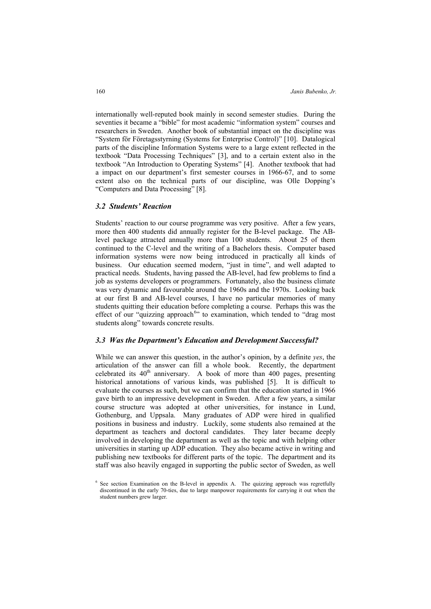internationally well-reputed book mainly in second semester studies. During the seventies it became a "bible" for most academic "information system" courses and researchers in Sweden. Another book of substantial impact on the discipline was "System för Företagsstyrning (Systems for Enterprise Control)" [10]. Datalogical parts of the discipline Information Systems were to a large extent reflected in the textbook "Data Processing Techniques" [3], and to a certain extent also in the textbook "An Introduction to Operating Systems" [4]. Another textbook that had a impact on our department's first semester courses in 1966-67, and to some extent also on the technical parts of our discipline, was Olle Dopping's "Computers and Data Processing" [8].

### *3.2 Students' Reaction*

Students' reaction to our course programme was very positive. After a few years, more then 400 students did annually register for the B-level package. The ABlevel package attracted annually more than 100 students. About 25 of them continued to the C-level and the writing of a Bachelors thesis. Computer based information systems were now being introduced in practically all kinds of business. Our education seemed modern, "just in time", and well adapted to practical needs. Students, having passed the AB-level, had few problems to find a job as systems developers or programmers. Fortunately, also the business climate was very dynamic and favourable around the 1960s and the 1970s. Looking back at our first B and AB-level courses, I have no particular memories of many students quitting their education before completing a course. Perhaps this was the effect of our "quizzing approach<sup>[6](#page-0-2)</sup>" to examination, which tended to "drag most students along" towards concrete results.

## *3.3 Was the Department's Education and Development Successful?*

While we can answer this question, in the author's opinion, by a definite *yes*, the articulation of the answer can fill a whole book. Recently, the department celebrated its 40<sup>th</sup> anniversary. A book of more than 400 pages, presenting historical annotations of various kinds, was published [5]. It is difficult to evaluate the courses as such, but we can confirm that the education started in 1966 gave birth to an impressive development in Sweden. After a few years, a similar course structure was adopted at other universities, for instance in Lund, Gothenburg, and Uppsala. Many graduates of ADP were hired in qualified positions in business and industry. Luckily, some students also remained at the department as teachers and doctoral candidates. They later became deeply involved in developing the department as well as the topic and with helping other universities in starting up ADP education. They also became active in writing and publishing new textbooks for different parts of the topic. The department and its staff was also heavily engaged in supporting the public sector of Sweden, as well

<sup>&</sup>lt;sup>6</sup> See section Examination on the B-level in appendix A. The quizzing approach was regretfully discontinued in the early 70-ties, due to large manpower requirements for carrying it out when the student numbers grew larger.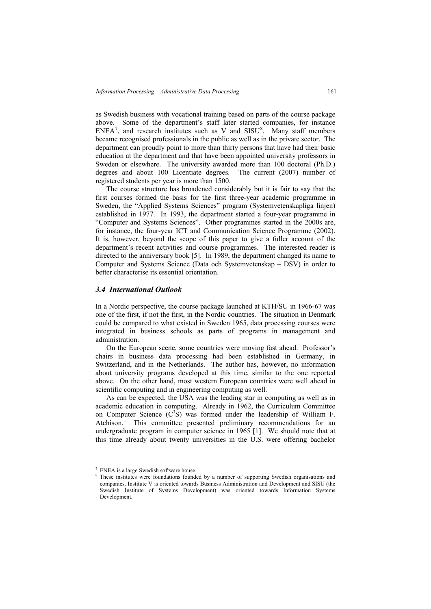as Swedish business with vocational training based on parts of the course package above. Some of the department's staff later started companies, for instance  $ENEA<sup>7</sup>$  $ENEA<sup>7</sup>$  $ENEA<sup>7</sup>$ , and research institutes such as V and  $SISU<sup>8</sup>$  $SISU<sup>8</sup>$  $SISU<sup>8</sup>$ . Many staff members became recognised professionals in the public as well as in the private sector. The department can proudly point to more than thirty persons that have had their basic education at the department and that have been appointed university professors in Sweden or elsewhere. The university awarded more than 100 doctoral (Ph.D.) degrees and about 100 Licentiate degrees. The current (2007) number of registered students per year is more than 1500.

The course structure has broadened considerably but it is fair to say that the first courses formed the basis for the first three-year academic programme in Sweden, the "Applied Systems Sciences" program (Systemvetenskapliga linjen) established in 1977. In 1993, the department started a four-year programme in "Computer and Systems Sciences". Other programmes started in the 2000s are, for instance, the four-year ICT and Communication Science Programme (2002). It is, however, beyond the scope of this paper to give a fuller account of the department's recent activities and course programmes. The interested reader is directed to the anniversary book [5]. In 1989, the department changed its name to Computer and Systems Science (Data och Systemvetenskap – DSV) in order to better characterise its essential orientation.

## *3.4 International Outlook*

In a Nordic perspective, the course package launched at KTH/SU in 1966-67 was one of the first, if not the first, in the Nordic countries. The situation in Denmark could be compared to what existed in Sweden 1965, data processing courses were integrated in business schools as parts of programs in management and administration.

On the European scene, some countries were moving fast ahead. Professor's chairs in business data processing had been established in Germany, in Switzerland, and in the Netherlands. The author has, however, no information about university programs developed at this time, similar to the one reported above. On the other hand, most western European countries were well ahead in scientific computing and in engineering computing as well.

As can be expected, the USA was the leading star in computing as well as in academic education in computing. Already in 1962, the Curriculum Committee on Computer Science  $(C^{3}S)$  was formed under the leadership of William F. Atchison. This committee presented preliminary recommendations for an undergraduate program in computer science in 1965 [1]. We should note that at this time already about twenty universities in the U.S. were offering bachelor

<sup>7</sup> ENEA is a large Swedish software house.

<sup>&</sup>lt;sup>8</sup> These institutes were foundations founded by a number of supporting Swedish organisations and companies. Institute V is oriented towards Business Administration and Development and SISU (the Swedish Institute of Systems Development) was oriented towards Information Systems Development.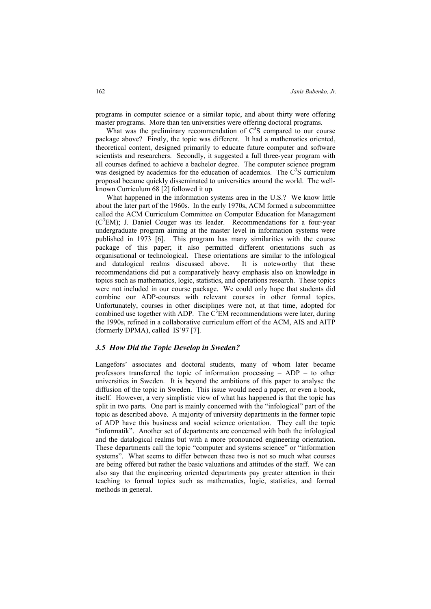programs in computer science or a similar topic, and about thirty were offering master programs. More than ten universities were offering doctoral programs.

What was the preliminary recommendation of  $C<sup>3</sup>S$  compared to our course package above? Firstly, the topic was different. It had a mathematics oriented, theoretical content, designed primarily to educate future computer and software scientists and researchers. Secondly, it suggested a full three-year program with all courses defined to achieve a bachelor degree. The computer science program was designed by academics for the education of academics. The  $C<sup>3</sup>S$  curriculum proposal became quickly disseminated to universities around the world. The wellknown Curriculum 68 [2] followed it up.

What happened in the information systems area in the U.S.? We know little about the later part of the 1960s. In the early 1970s, ACM formed a subcommittee called the ACM Curriculum Committee on Computer Education for Management (C<sup>3</sup>EM); J. Daniel Couger was its leader. Recommendations for a four-year undergraduate program aiming at the master level in information systems were published in 1973 [6]. This program has many similarities with the course package of this paper; it also permitted different orientations such as organisational or technological. These orientations are similar to the infological and datalogical realms discussed above. It is noteworthy that these recommendations did put a comparatively heavy emphasis also on knowledge in topics such as mathematics, logic, statistics, and operations research. These topics were not included in our course package. We could only hope that students did combine our ADP-courses with relevant courses in other formal topics. Unfortunately, courses in other disciplines were not, at that time, adopted for combined use together with ADP. The  $C<sup>3</sup>EM$  recommendations were later, during the 1990s, refined in a collaborative curriculum effort of the ACM, AIS and AITP (formerly DPMA), called IS'97 [7].

# *3.5 How Did the Topic Develop in Sweden?*

Langefors' associates and doctoral students, many of whom later became professors transferred the topic of information processing – ADP – to other universities in Sweden. It is beyond the ambitions of this paper to analyse the diffusion of the topic in Sweden. This issue would need a paper, or even a book, itself. However, a very simplistic view of what has happened is that the topic has split in two parts. One part is mainly concerned with the "infological" part of the topic as described above. A majority of university departments in the former topic of ADP have this business and social science orientation. They call the topic "informatik". Another set of departments are concerned with both the infological and the datalogical realms but with a more pronounced engineering orientation. These departments call the topic "computer and systems science" or "information systems". What seems to differ between these two is not so much what courses are being offered but rather the basic valuations and attitudes of the staff. We can also say that the engineering oriented departments pay greater attention in their teaching to formal topics such as mathematics, logic, statistics, and formal methods in general.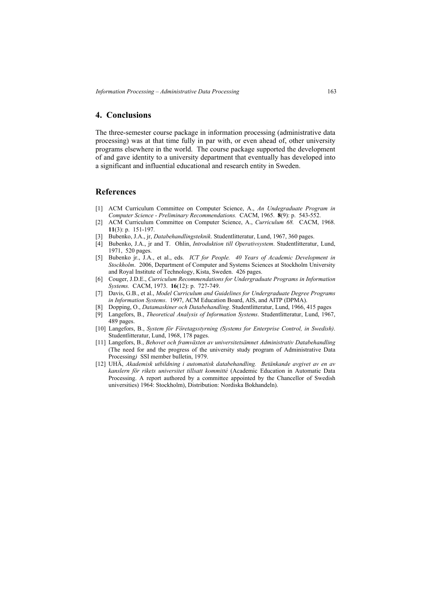# **4. Conclusions**

The three-semester course package in information processing (administrative data processing) was at that time fully in par with, or even ahead of, other university programs elsewhere in the world. The course package supported the development of and gave identity to a university department that eventually has developed into a significant and influential educational and research entity in Sweden.

# **References**

- [1] ACM Curriculum Committee on Computer Science, A., *An Undegraduate Program in Computer Science - Preliminary Recommendations.* CACM, 1965. **8**(9): p. 543-552.
- [2] ACM Curriculum Committee on Computer Science, A., *Curriculum 68.* CACM, 1968. **11**(3): p. 151-197.
- [3] Bubenko, J.A., jr, *Databehandlingsteknik*. Studentlitteratur, Lund, 1967, 360 pages.
- [4] Bubenko, J.A., jr and T. Ohlin, *Introduktion till Operativsystem*. Studentlitteratur, Lund, 1971, 520 pages.
- [5] Bubenko jr., J.A., et al., eds. *ICT for People. 40 Years of Academic Development in Stockholm*. 2006, Department of Computer and Systems Sciences at Stockholm University and Royal Institute of Technology, Kista, Sweden. 426 pages.
- [6] Couger, J.D.E., *Curriculum Recommendations for Undergraduate Programs in Information Systems.* CACM, 1973. **16**(12): p. 727-749.
- [7] Davis, G.B., et al., *Model Curriculum and Guidelines for Undergraduate Degree Programs in Information Systems*. 1997, ACM Education Board, AIS, and AITP (DPMA).
- [8] Dopping, O., *Datamaskiner och Databehandling*. Studentlitteratur, Lund, 1966, 415 pages
- [9] Langefors, B., *Theoretical Analysis of Information Systems*. Studentlitteratur, Lund, 1967, 489 pages.
- [10] Langefors, B., *System för Företagsstyrning (Systems for Enterprise Control, in Swedish)*. Studentlitteratur, Lund, 1968, 178 pages.
- [11] Langefors, B., *Behovet och framväxten av universitetsämnet Administrativ Databehandling* (The need for and the progress of the university study program of Administrative Data Processing*)* SSI member bulletin, 1979.
- [12] UHÄ, *Akademisk utbildning i automatisk databehandling. Betänkande avgivet av en av kanslern för rikets universitet tillsatt kommitté* (Academic Education in Automatic Data Processing. A report authored by a committee appointed by the Chancellor of Swedish universities) 1964: Stockholm), Distribution: Nordiska Bokhandeln).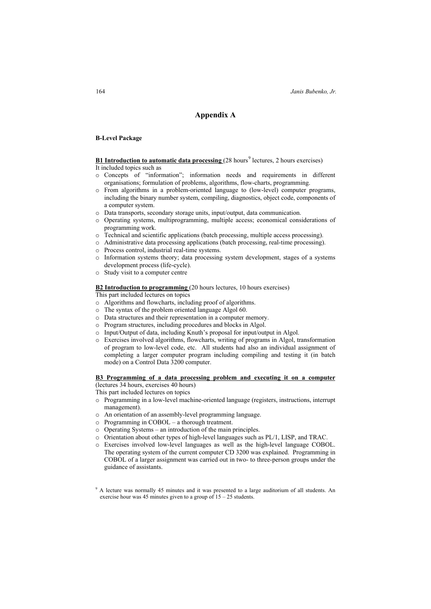164 *Janis Bubenko, Jr.* 

# **Appendix A**

### **B-Level Package**

**B1 Introduction to automatic data processing** (28 hours<sup>[9](#page-0-1)</sup> lectures, 2 hours exercises) It included topics such as

- o Concepts of "information"; information needs and requirements in different organisations; formulation of problems, algorithms, flow-charts, programming.
- o From algorithms in a problem-oriented language to (low-level) computer programs, including the binary number system, compiling, diagnostics, object code, components of a computer system.
- o Data transports, secondary storage units, input/output, data communication.
- o Operating systems, multiprogramming, multiple access; economical considerations of programming work.
- o Technical and scientific applications (batch processing, multiple access processing).
- o Administrative data processing applications (batch processing, real-time processing).
- o Process control, industrial real-time systems.
- o Information systems theory; data processing system development, stages of a systems development process (life-cycle).
- o Study visit to a computer centre

**B2 Introduction to programming** (20 hours lectures, 10 hours exercises)

This part included lectures on topics

- o Algorithms and flowcharts, including proof of algorithms.
- o The syntax of the problem oriented language Algol 60.
- o Data structures and their representation in a computer memory.
- o Program structures, including procedures and blocks in Algol.
- Input/Output of data, including Knuth's proposal for input/output in Algol.
- o Exercises involved algorithms, flowcharts, writing of programs in Algol, transformation of program to low-level code, etc. All students had also an individual assignment of completing a larger computer program including compiling and testing it (in batch mode) on a Control Data 3200 computer.

# **B3 Programming of a data processing problem and executing it on a computer**

(lectures 34 hours, exercises 40 hours)

This part included lectures on topics

- o Programming in a low-level machine-oriented language (registers, instructions, interrupt management).
- o An orientation of an assembly-level programming language.
- o Programming in COBOL a thorough treatment.
- o Operating Systems an introduction of the main principles.
- o Orientation about other types of high-level languages such as PL/1, LISP, and TRAC.
- o Exercises involved low-level languages as well as the high-level language COBOL. The operating system of the current computer CD 3200 was explained. Programming in COBOL of a larger assignment was carried out in two- to three-person groups under the guidance of assistants.

<sup>&</sup>lt;sup>9</sup> A lecture was normally 45 minutes and it was presented to a large auditorium of all students. An exercise hour was 45 minutes given to a group of  $15 - 25$  students.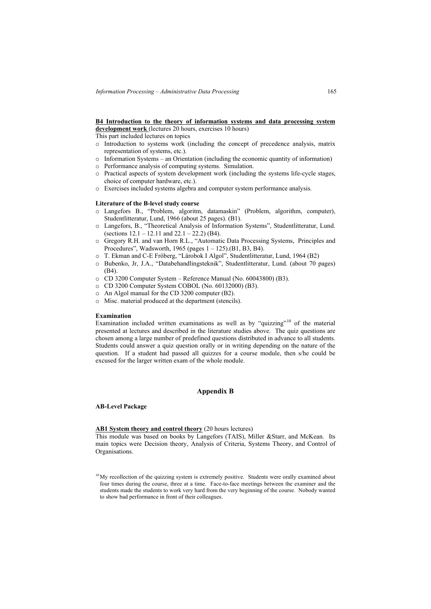This part included lectures on topics

- o Introduction to systems work (including the concept of precedence analysis, matrix representation of systems, etc.).
- $\circ$  Information Systems an Orientation (including the economic quantity of information)
- o Performance analysis of computing systems. Simulation.
- o Practical aspects of system development work (including the systems life-cycle stages, choice of computer hardware, etc.).
- o Exercises included systems algebra and computer system performance analysis.

#### **Literature of the B-level study course**

- o Langefors B., "Problem, algoritm, datamaskin" (Problem, algorithm, computer), Studentlitteratur, Lund, 1966 (about 25 pages). (B1).
- o Langefors, B., "Theoretical Analysis of Information Systems", Studentlitteratur, Lund. (sections  $12.1 - 12.11$  and  $22.1 - 22.2$ ) (B4).
- o Gregory R.H. and van Horn R.L., "Automatic Data Processing Systems, Principles and Procedures", Wadsworth, 1965 (pages 1 – 125).(B1, B3, B4).
- o T. Ekman and C-E Fröberg, "Lärobok I Algol", Studentlitteratur, Lund, 1964 (B2)
- o Bubenko, Jr, J.A., "Databehandlingsteknik", Studentlitteratur, Lund. (about 70 pages) (B4).
- o CD 3200 Computer System Reference Manual (No. 60043800) (B3).
- o CD 3200 Computer System COBOL (No. 60132000) (B3).
- o An Algol manual for the CD 3200 computer (B2).
- o Misc. material produced at the department (stencils).

#### **Examination**

Examination included written examinations as well as by "quizzing"[1](#page-0-0)0 of the material presented at lectures and described in the literature studies above. The quiz questions are chosen among a large number of predefined questions distributed in advance to all students. Students could answer a quiz question orally or in writing depending on the nature of the question. If a student had passed all quizzes for a course module, then s/he could be excused for the larger written exam of the whole module.

## **Appendix B**

#### **AB-Level Package**

#### **AB1 System theory and control theory** (20 hours lectures)

This module was based on books by Langefors (TAIS), Miller &Starr, and McKean. Its main topics were Decision theory, Analysis of Criteria, Systems Theory, and Control of Organisations.

**B4 Introduction to the theory of information systems and data processing system development work** (lectures 20 hours, exercises 10 hours)

<sup>&</sup>lt;sup>10</sup> My recollection of the quizzing system is extremely positive. Students were orally examined about four times during the course, three at a time. Face-to-face meetings between the examiner and the students made the students to work very hard from the very beginning of the course. Nobody wanted to show bad performance in front of their colleagues.